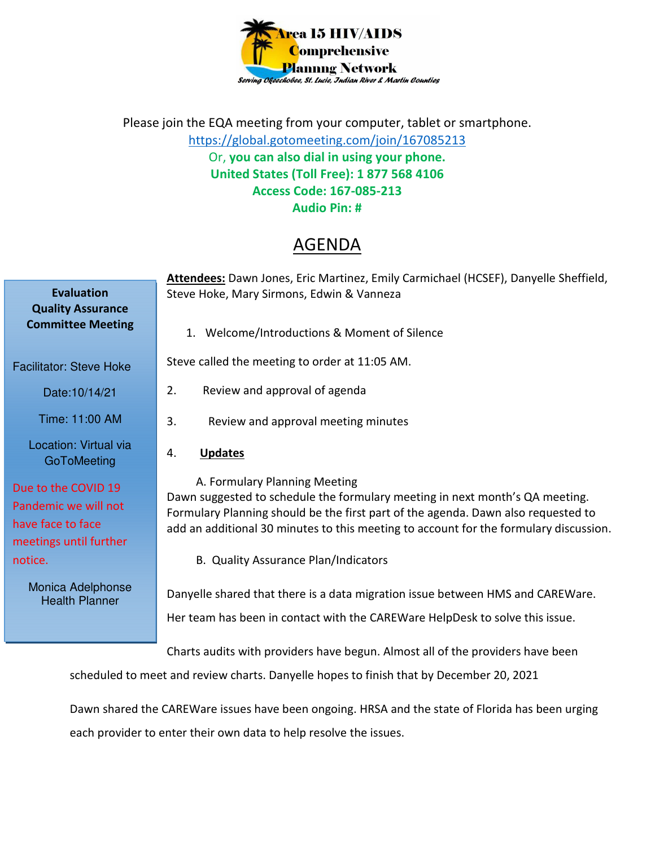

Please join the EQA meeting from your computer, tablet or smartphone. https://global.gotomeeting.com/join/167085213 Or, **you can also dial in using your phone. United States (Toll Free): 1 877 568 4106 Access Code: 167-085-213 Audio Pin: #** 

## AGENDA

|                                                                                            | Attendees: Dawn Jones, Eric Martinez, Emily Carmichael (HCSEF), Danyelle Sheffield,                                                                                                                                                                                                         |
|--------------------------------------------------------------------------------------------|---------------------------------------------------------------------------------------------------------------------------------------------------------------------------------------------------------------------------------------------------------------------------------------------|
| <b>Evaluation</b><br><b>Quality Assurance</b>                                              | Steve Hoke, Mary Sirmons, Edwin & Vanneza                                                                                                                                                                                                                                                   |
| <b>Committee Meeting</b>                                                                   | 1. Welcome/Introductions & Moment of Silence                                                                                                                                                                                                                                                |
| <b>Facilitator: Steve Hoke</b>                                                             | Steve called the meeting to order at 11:05 AM.                                                                                                                                                                                                                                              |
| Date: 10/14/21                                                                             | 2.<br>Review and approval of agenda                                                                                                                                                                                                                                                         |
| Time: 11:00 AM                                                                             | 3.<br>Review and approval meeting minutes                                                                                                                                                                                                                                                   |
| Location: Virtual via<br>GoToMeeting                                                       | <b>Updates</b><br>4.                                                                                                                                                                                                                                                                        |
| Due to the COVID 19<br>Pandemic we will not<br>have face to face<br>meetings until further | A. Formulary Planning Meeting<br>Dawn suggested to schedule the formulary meeting in next month's QA meeting.<br>Formulary Planning should be the first part of the agenda. Dawn also requested to<br>add an additional 30 minutes to this meeting to account for the formulary discussion. |
| notice.                                                                                    | B. Quality Assurance Plan/Indicators                                                                                                                                                                                                                                                        |
| Monica Adelphonse<br><b>Health Planner</b>                                                 | Danyelle shared that there is a data migration issue between HMS and CAREWare.<br>Her team has been in contact with the CAREWare HelpDesk to solve this issue.                                                                                                                              |
|                                                                                            | Charts audits with providers have begun. Almost all of the providers have been                                                                                                                                                                                                              |

scheduled to meet and review charts. Danyelle hopes to finish that by December 20, 2021

Dawn shared the CAREWare issues have been ongoing. HRSA and the state of Florida has been urging each provider to enter their own data to help resolve the issues.